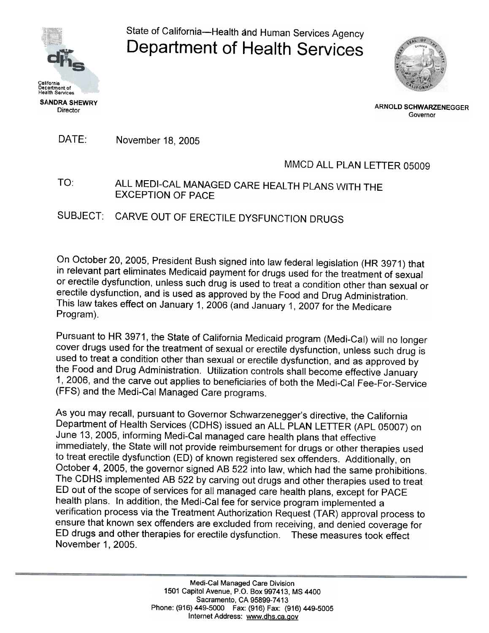

State of California-Health and Human Services Agency Department of Health Services



ARNOLD SCHWARZENEGGER Governor

DATE: November 18, 2005

## MMCD ALL PLAN LETTER 05009

TO: ALL MEDI-CAL MANAGED CARE HEALTH PLANS WITH THE EXCEPTION OF PACE

SUBJECT: CARVE OUT OF ERECTILE DYSFUNCTION DRUGS

On October 20, 2005, President Bush signed into law federal legislation (HR 3971) that in relevant part eliminates Medicaid payment for drugs used for the treatment of sexual or erectile dysfunction, unless such drug is used to treat a condition other than sexual or erectile dysfunction, and is used as approved by the Food and Drug Administration. This law takes effect on January 1, 2006 (and January 1, 2007 for the Medicare Program).

Pursuant to HR 3971, the State of California Medicaid program (Medi-Cal) will no longer cover drugs used for the treatment of sexual or erectile dysfunction, unless such drug is used to treat a condition other than sexual or erectile dysfunction, and as approved by the Food and Drug Administration. Utilization controls shall become effective January 1, 2006, and the carve out applies to beneficiaries of both the Medi-Cal Fee-For-Service (FFS) and the Medi-Cal Managed Care programs.

As you may recall, pursuant to Governor Schwarzenegger's directive, the California Department of Health Services (CDHS) issued an ALL PLAN LETTER (APL 05007) on June 13, 2005, informing Medi-Cal managed care health plans that effective immediately, the State will not provide reimbursement for drugs or other therapies used to treat erectile dysfunction (ED) of known registered sex offenders. Additionally, on October 4,2005, the governor signed AB 522 into law, which had the same prohibitions. The CDHS implemented AB 522 by carving out drugs and other therapies used to treat ED out of the scope of services for all managed care health plans, except for PACE health plans. In addition, the Medi-Cal fee for service program implemented a verification process via the Treatment Authorization Request (TAR) approval process to ensure that known sex offenders are excluded from receiving, and denied coverage for ED drugs and other therapies for erectile dysfunction. These measures took effect November 1, 2005.